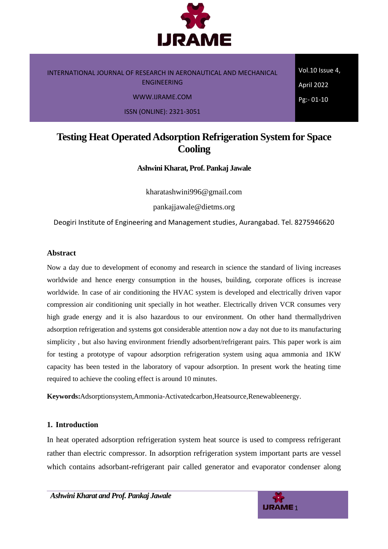

INTERNATIONAL JOURNAL OF RESEARCH IN AERONAUTICAL AND MECHANICAL ENGINEERING WWW.IJRAME.COM

ISSN (ONLINE): 2321-3051

Vol.10 Issue 4, April 2022 Pg:- 01-10

## **Testing Heat Operated Adsorption Refrigeration System for Space Cooling**

**Ashwini Kharat, Prof. Pankaj Jawale**

kharatashwini996@gmail.com

pankajjawale@dietms.org

Deogiri Institute of Engineering and Management studies, Aurangabad. Tel. 8275946620

### **Abstract**

Now a day due to development of economy and research in science the standard of living increases worldwide and hence energy consumption in the houses, building, corporate offices is increase worldwide. In case of air conditioning the HVAC system is developed and electrically driven vapor compression air conditioning unit specially in hot weather. Electrically driven VCR consumes very high grade energy and it is also hazardous to our environment. On other hand thermallydriven adsorption refrigeration and systems got considerable attention now a day not due to its manufacturing simplicity , but also having environment friendly adsorbent/refrigerant pairs. This paper work is aim for testing a prototype of vapour adsorption refrigeration system using aqua ammonia and 1KW capacity has been tested in the laboratory of vapour adsorption. In present work the heating time required to achieve the cooling effect is around 10 minutes.

**Keywords:**Adsorptionsystem,Ammonia-Activatedcarbon,Heatsource,Renewableenergy.

### **1. Introduction**

In heat operated adsorption refrigeration system heat source is used to compress refrigerant rather than electric compressor. In adsorption refrigeration system important parts are vessel which contains adsorbant-refrigerant pair called generator and evaporator condenser along

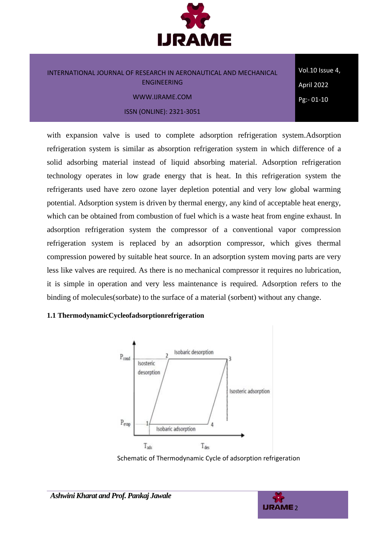

Vol.10 Issue 4, April 2022 Pg:- 01-10

with expansion valve is used to complete adsorption refrigeration system.Adsorption refrigeration system is similar as absorption refrigeration system in which difference of a solid adsorbing material instead of liquid absorbing material. Adsorption refrigeration technology operates in low grade energy that is heat. In this refrigeration system the refrigerants used have zero ozone layer depletion potential and very low global warming potential. Adsorption system is driven by thermal energy, any kind of acceptable heat energy, which can be obtained from combustion of fuel which is a waste heat from engine exhaust. In adsorption refrigeration system the compressor of a conventional vapor compression refrigeration system is replaced by an adsorption compressor, which gives thermal compression powered by suitable heat source. In an adsorption system moving parts are very less like valves are required. As there is no mechanical compressor it requires no lubrication, it is simple in operation and very less maintenance is required. Adsorption refers to the binding of molecules(sorbate) to the surface of a material (sorbent) without any change.

### **1.1 ThermodynamicCycleofadsorptionrefrigeration**



Schematic of Thermodynamic Cycle of adsorption refrigeration

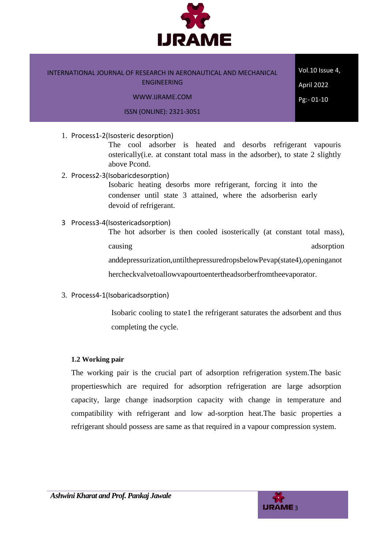

Vol.10 Issue 4, April 2022 Pg:- 01-10

1. Process1-2(Isosteric desorption)

The cool adsorber is heated and desorbs refrigerant vapouris osterically(i.e. at constant total mass in the adsorber), to state 2 slightly above Pcond.

2. Process2-3(Isobaricdesorption)

Isobaric heating desorbs more refrigerant, forcing it into the condenser until state 3 attained, where the adsorberisn early devoid of refrigerant.

3 Process3-4(Isostericadsorption)

The hot adsorber is then cooled isosterically (at constant total mass), causing adsorption and adsorption and adsorption and adsorption and adsorption and adsorption and adsorption and adsorption and adsorption and adsorption and adsorption and adsorption and adsorption and adsorption and adso anddepressurization,untilthepressuredropsbelowPevap(state4),openinganot hercheckvalvetoallowvapourtoentertheadsorberfromtheevaporator.

3. Process4-1(Isobaricadsorption)

Isobaric cooling to state1 the refrigerant saturates the adsorbent and thus completing the cycle.

### **1.2 Working pair**

The working pair is the crucial part of adsorption refrigeration system.The basic propertieswhich are required for adsorption refrigeration are large adsorption capacity, large change inadsorption capacity with change in temperature and compatibility with refrigerant and low ad-sorption heat.The basic properties a refrigerant should possess are same as that required in a vapour compression system.

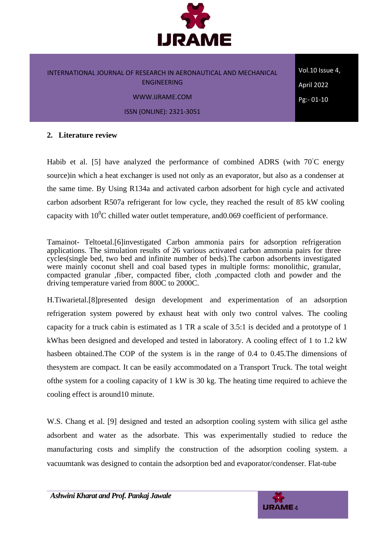

Vol.10 Issue 4, April 2022 Pg:- 01-10

### **2. Literature review**

Habib et al. [5] have analyzed the performance of combined ADRS (with 70<sup>*°*C energy</sup> source)in which a heat exchanger is used not only as an evaporator, but also as a condenser at the same time. By Using R134a and activated carbon adsorbent for high cycle and activated carbon adsorbent R507a refrigerant for low cycle, they reached the result of 85 kW cooling capacity with  $10^{0}$ C chilled water outlet temperature, and 0.069 coefficient of performance.

Tamainot- Teltoetal.[6]investigated Carbon ammonia pairs for adsorption refrigeration applications. The simulation results of 26 various activated carbon ammonia pairs for three cycles(single bed, two bed and infinite number of beds).The carbon adsorbents investigated were mainly coconut shell and coal based types in multiple forms: monolithic, granular, compacted granular ,fiber, compacted fiber, cloth ,compacted cloth and powder and the driving temperature varied from 800C to 2000C.

H.Tiwarietal.[8]presented design development and experimentation of an adsorption refrigeration system powered by exhaust heat with only two control valves. The cooling capacity for a truck cabin is estimated as 1 TR a scale of 3.5:1 is decided and a prototype of 1 kWhas been designed and developed and tested in laboratory. A cooling effect of 1 to 1.2 kW hasbeen obtained.The COP of the system is in the range of 0.4 to 0.45.The dimensions of thesystem are compact. It can be easily accommodated on a Transport Truck. The total weight ofthe system for a cooling capacity of 1 kW is 30 kg. The heating time required to achieve the cooling effect is around10 minute.

W.S. Chang et al. [9] designed and tested an adsorption cooling system with silica gel asthe adsorbent and water as the adsorbate. This was experimentally studied to reduce the manufacturing costs and simplify the construction of the adsorption cooling system. a vacuumtank was designed to contain the adsorption bed and evaporator/condenser. Flat-tube

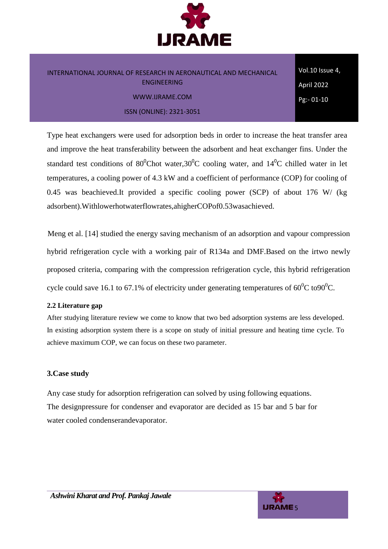

Vol.10 Issue 4, April 2022 Pg:- 01-10

Type heat exchangers were used for adsorption beds in order to increase the heat transfer area and improve the heat transferability between the adsorbent and heat exchanger fins. Under the standard test conditions of  $80^{\circ}$ Chot water,  $30^{\circ}$ C cooling water, and  $14^{\circ}$ C chilled water in let temperatures, a cooling power of 4.3 kW and a coefficient of performance (COP) for cooling of 0.45 was beachieved.It provided a specific cooling power (SCP) of about 176 W/ (kg adsorbent).Withlowerhotwaterflowrates,ahigherCOPof0.53wasachieved.

Meng et al. [14] studied the energy saving mechanism of an adsorption and vapour compression hybrid refrigeration cycle with a working pair of R134a and DMF.Based on the irtwo newly proposed criteria, comparing with the compression refrigeration cycle, this hybrid refrigeration cycle could save 16.1 to 67.1% of electricity under generating temperatures of  $60^{\circ}$ C to $90^{\circ}$ C.

### **2.2 Literature gap**

After studying literature review we come to know that two bed adsorption systems are less developed. In existing adsorption system there is a scope on study of initial pressure and heating time cycle. To achieve maximum COP, we can focus on these two parameter.

### **3.Case study**

Any case study for adsorption refrigeration can solved by using following equations. The designpressure for condenser and evaporator are decided as 15 bar and 5 bar for water cooled condenserandevaporator.

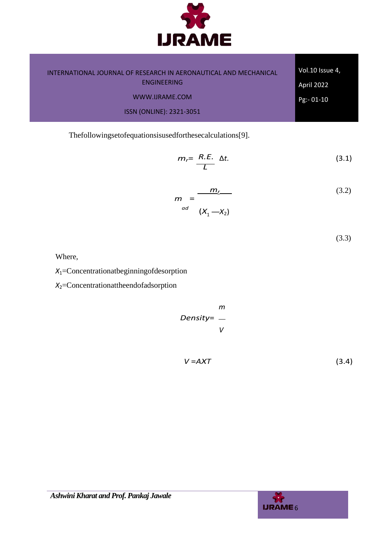

| INTERNATIONAL JOURNAL OF RESEARCH IN AERONAUTICAL AND MECHANICAL | Vol.10 Issue 4,   |
|------------------------------------------------------------------|-------------------|
| <b>ENGINEERING</b>                                               | <b>April 2022</b> |
| WWW.IJRAME.COM                                                   | $Pg - 01 - 10$    |
| <b>ISSN (ONLINE): 2321-3051</b>                                  |                   |

Thefollowingsetofequationsisusedforthesecalculations[9].

$$
m_r = \frac{R.E.}{L} \Delta t. \tag{3.1}
$$

$$
m = \frac{m_{\underline{r}}}{\left(X_1 - X_2\right)}\tag{3.2}
$$

(3.3)

Where,

*X*1=Concentrationatbeginningofdesorption

*X*2=Concentrationattheendofadsorption

$$
mn = \frac{m}{\nu}
$$

$$
V = A X T \tag{3.4}
$$

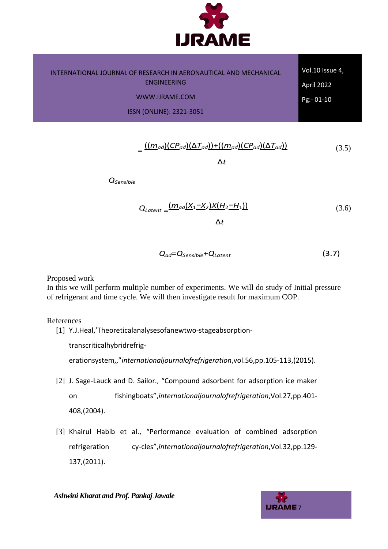

| INTERNATIONAL JOURNAL OF RESEARCH IN AERONAUTICAL AND MECHANICAL | Vol.10 Issue 4, |
|------------------------------------------------------------------|-----------------|
| <b>ENGINEERING</b>                                               | April 2022      |
| WWW.IJRAME.COM                                                   | $Pg - 01 - 10$  |
| <b>ISSN (ONLINE): 2321-3051</b>                                  |                 |

$$
= \frac{((m_{ad})(CP_{ad})(\Delta T_{ad})) + ((m_{ad})(CP_{ad})(\Delta T_{ad}))}{(3.5)}
$$

∆*t*

*QSensible*

$$
Q_{Latent} = \frac{(m_{od}(X_1 - X_2)X(H_2 - H_1))}{\Delta t}
$$
 (3.6)

$$
Q_{ad} = Q_{Sensible} + Q_{Latent}
$$
 (3.7)

Proposed work

In this we will perform multiple number of experiments. We will do study of Initial pressure of refrigerant and time cycle. We will then investigate result for maximum COP.

References

[1] Y.J.Heal,'Theoreticalanalysesofanewtwo-stageabsorption-

transcriticalhybridrefrig-

erationsystem,,"*internationaljournalofrefrigeration*,vol.56,pp.105-113,(2015).

- [2] J. Sage-Lauck and D. Sailor., "Compound adsorbent for adsorption ice maker on fishingboats",*internationaljournalofrefrigeration*,Vol.27,pp.401- 408,(2004).
- [3] Khairul Habib et al., "Performance evaluation of combined adsorption refrigeration cy-cles",*internationaljournalofrefrigeration*,Vol.32,pp.129- 137,(2011).

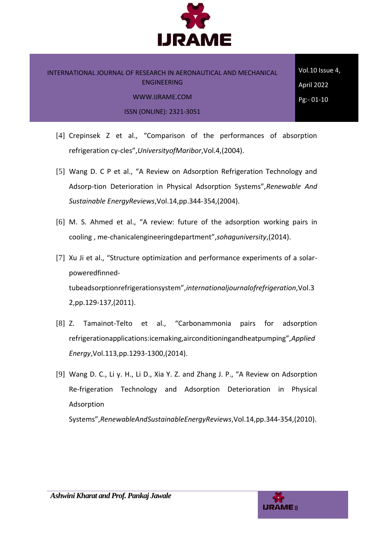

Vol.10 Issue 4, April 2022 Pg:- 01-10

- [4] Crepinsek Z et al., "Comparison of the performances of absorption refrigeration cy-cles",*UniversityofMaribor*,Vol.4,(2004).
- [5] Wang D. C P et al., "A Review on Adsorption Refrigeration Technology and Adsorp-tion Deterioration in Physical Adsorption Systems",*Renewable And Sustainable EnergyReviews*,Vol.14,pp.344-354,(2004).
- [6] M. S. Ahmed et al., "A review: future of the adsorption working pairs in cooling , me-chanicalengineeringdepartment",*sohaguniversity*,(2014).
- [7] Xu Ji et al., "Structure optimization and performance experiments of a solarpoweredfinnedtubeadsorptionrefrigerationsystem",*internationaljournalofrefrigeration*,Vol.3 2,pp.129-137,(2011).
- [8] Z. Tamainot-Telto et al., "Carbonammonia pairs for adsorption refrigerationapplications:icemaking,airconditioningandheatpumping",*Applied Energy*,Vol.113,pp.1293-1300,(2014).
- [9] Wang D. C., Li y. H., Li D., Xia Y. Z. and Zhang J. P., "A Review on Adsorption Re-frigeration Technology and Adsorption Deterioration in Physical Adsorption

Systems",*RenewableAndSustainableEnergyReviews*,Vol.14,pp.344-354,(2010).

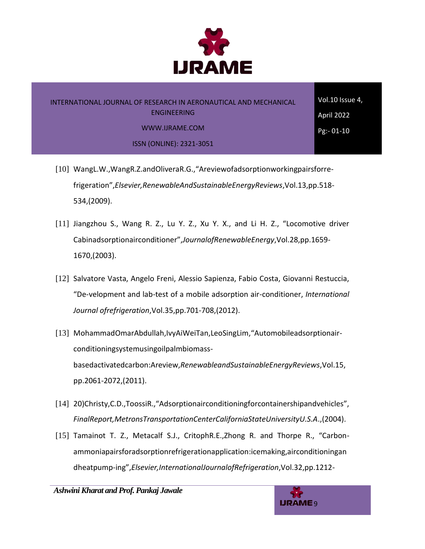

## INTERNATIONAL JOURNAL OF RESEARCH IN AERONAUTICAL AND MECHANICAL ENGINEERING

Vol.10 Issue 4, April 2022 Pg:- 01-10

WWW.IJRAME.COM

ISSN (ONLINE): 2321-3051

- [10] WangL.W.,WangR.Z.andOliveraR.G.,"Areviewofadsorptionworkingpairsforrefrigeration",*Elsevier,RenewableAndSustainableEnergyReviews*,Vol.13,pp.518- 534,(2009).
- [11] Jiangzhou S., Wang R. Z., Lu Y. Z., Xu Y. X., and Li H. Z., "Locomotive driver Cabinadsorptionairconditioner",*JournalofRenewableEnergy*,Vol.28,pp.1659- 1670,(2003).
- [12] Salvatore Vasta, Angelo Freni, Alessio Sapienza, Fabio Costa, Giovanni Restuccia, "De-velopment and lab-test of a mobile adsorption air-conditioner, *International Journal ofrefrigeration*,Vol.35,pp.701-708,(2012).
- [13] MohammadOmarAbdullah,IvyAiWeiTan,LeoSingLim,"Automobileadsorptionairconditioningsystemusingoilpalmbiomassbasedactivatedcarbon:Areview,*RenewableandSustainableEnergyReviews*,Vol.15, pp.2061-2072,(2011).
- [14] 20)Christy,C.D.,ToossiR.,"Adsorptionairconditioningforcontainershipandvehicles", *FinalReport,MetronsTransportationCenterCaliforniaStateUniversityU.S.A*.,(2004).
- [15] Tamainot T. Z., Metacalf S.J., CritophR.E., Zhong R. and Thorpe R., "Carbonammoniapairsforadsorptionrefrigerationapplication:icemaking,airconditioningan dheatpump-ing",*Elsevier,InternationalJournalofRefrigeration*,Vol.32,pp.1212-